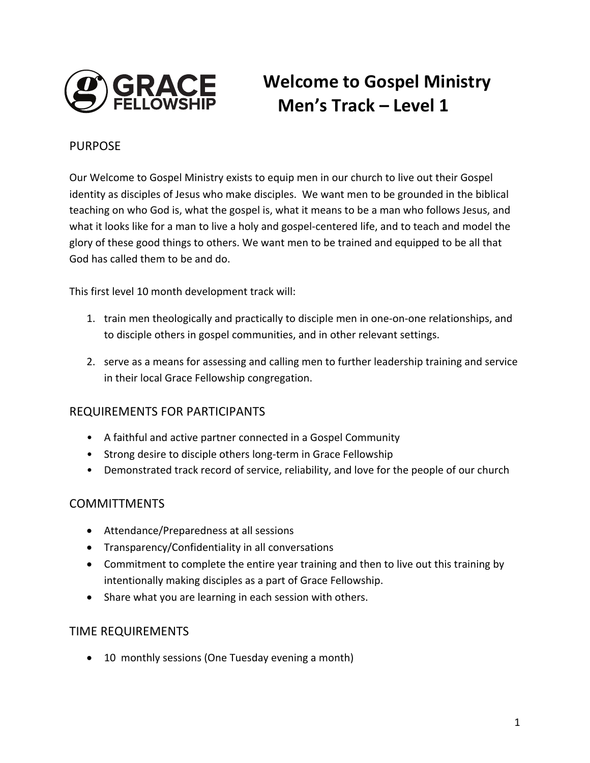

# **Welcome to Gospel Ministry Men's Track – Level 1**

#### PURPOSE

Our Welcome to Gospel Ministry exists to equip men in our church to live out their Gospel identity as disciples of Jesus who make disciples. We want men to be grounded in the biblical teaching on who God is, what the gospel is, what it means to be a man who follows Jesus, and what it looks like for a man to live a holy and gospel-centered life, and to teach and model the glory of these good things to others. We want men to be trained and equipped to be all that God has called them to be and do.

This first level 10 month development track will:

- 1. train men theologically and practically to disciple men in one-on-one relationships, and to disciple others in gospel communities, and in other relevant settings.
- 2. serve as a means for assessing and calling men to further leadership training and service in their local Grace Fellowship congregation.

#### REQUIREMENTS FOR PARTICIPANTS

- A faithful and active partner connected in a Gospel Community
- Strong desire to disciple others long-term in Grace Fellowship
- Demonstrated track record of service, reliability, and love for the people of our church

#### **COMMITTMENTS**

- Attendance/Preparedness at all sessions
- Transparency/Confidentiality in all conversations
- Commitment to complete the entire year training and then to live out this training by intentionally making disciples as a part of Grace Fellowship.
- Share what you are learning in each session with others.

#### TIME REQUIREMENTS

• 10 monthly sessions (One Tuesday evening a month)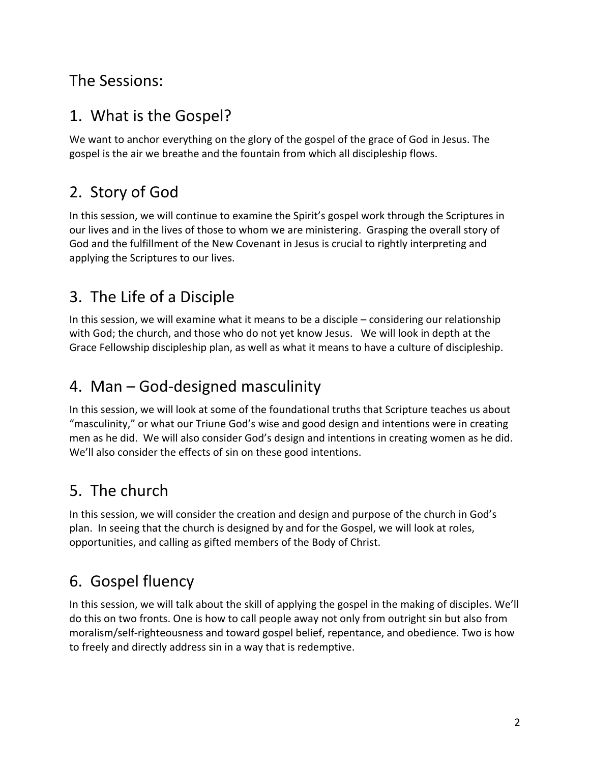### The Sessions:

### 1. What is the Gospel?

We want to anchor everything on the glory of the gospel of the grace of God in Jesus. The gospel is the air we breathe and the fountain from which all discipleship flows.

## 2. Story of God

In this session, we will continue to examine the Spirit's gospel work through the Scriptures in our lives and in the lives of those to whom we are ministering. Grasping the overall story of God and the fulfillment of the New Covenant in Jesus is crucial to rightly interpreting and applying the Scriptures to our lives.

### 3. The Life of a Disciple

In this session, we will examine what it means to be a disciple  $-$  considering our relationship with God; the church, and those who do not yet know Jesus. We will look in depth at the Grace Fellowship discipleship plan, as well as what it means to have a culture of discipleship.

## 4. Man  $-$  God-designed masculinity

In this session, we will look at some of the foundational truths that Scripture teaches us about "masculinity," or what our Triune God's wise and good design and intentions were in creating men as he did. We will also consider God's design and intentions in creating women as he did. We'll also consider the effects of sin on these good intentions.

## 5. The church

In this session, we will consider the creation and design and purpose of the church in God's plan. In seeing that the church is designed by and for the Gospel, we will look at roles, opportunities, and calling as gifted members of the Body of Christ.

# 6. Gospel fluency

In this session, we will talk about the skill of applying the gospel in the making of disciples. We'll do this on two fronts. One is how to call people away not only from outright sin but also from moralism/self-righteousness and toward gospel belief, repentance, and obedience. Two is how to freely and directly address sin in a way that is redemptive.